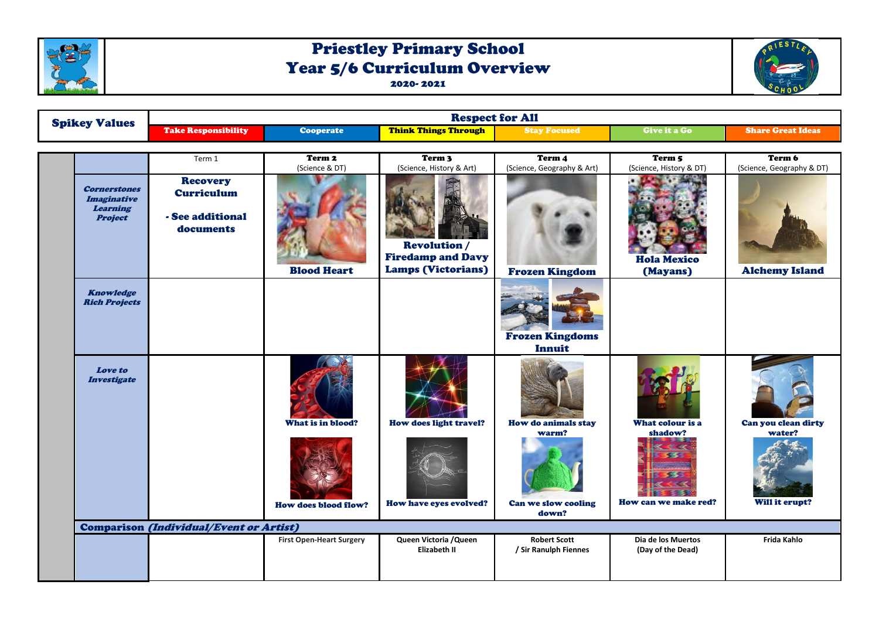

## Priestley Primary School Year 5/6 Curriculum Overview 2020- 2021



| <b>Spikey Values</b>                                                           | <b>Respect for All</b>                                                |                                 |                                                                              |                                              |                                         |                                     |  |
|--------------------------------------------------------------------------------|-----------------------------------------------------------------------|---------------------------------|------------------------------------------------------------------------------|----------------------------------------------|-----------------------------------------|-------------------------------------|--|
|                                                                                | <b>Take Responsibility</b>                                            | <b>Cooperate</b>                | <b>Think Things Through</b>                                                  | <b>Stay Focused</b>                          | Give it a Go                            | <b>Share Great Ideas</b>            |  |
|                                                                                | Term 1                                                                | Term 2<br>(Science & DT)        | Term 3<br>(Science, History & Art)                                           | Term 4<br>(Science, Geography & Art)         | Term 5<br>(Science, History & DT)       | Term 6<br>(Science, Geography & DT) |  |
| <b>Cornerstones</b><br><b>Imaginative</b><br><b>Learning</b><br><b>Project</b> | <b>Recovery</b><br><b>Curriculum</b><br>- See additional<br>documents | <b>Blood Heart</b>              | <b>Revolution</b> /<br><b>Firedamp and Davy</b><br><b>Lamps (Victorians)</b> | <b>Frozen Kingdom</b>                        | <b>Hola Mexico</b><br>(Mayans)          | <b>Alchemy Island</b>               |  |
| <b>Knowledge</b><br><b>Rich Projects</b>                                       |                                                                       |                                 |                                                                              | <b>Frozen Kingdoms</b><br>Innuit             |                                         |                                     |  |
| Love to<br><b>Investigate</b>                                                  |                                                                       | What is in blood?               | How does light travel?                                                       | <b>How do animals stay</b><br>warm?          | What colour is a<br>shadow?             | Can you clean dirty<br>water?       |  |
|                                                                                |                                                                       | <b>How does blood flow?</b>     | How have eyes evolved?                                                       | Can we slow cooling<br>down?                 | How can we make red?                    | Will it erupt?                      |  |
|                                                                                | <b>Comparison (Individual/Event or Artist)</b>                        |                                 |                                                                              |                                              |                                         |                                     |  |
|                                                                                |                                                                       | <b>First Open-Heart Surgery</b> | Queen Victoria / Queen<br>Elizabeth II                                       | <b>Robert Scott</b><br>/ Sir Ranulph Fiennes | Dia de los Muertos<br>(Day of the Dead) | Frida Kahlo                         |  |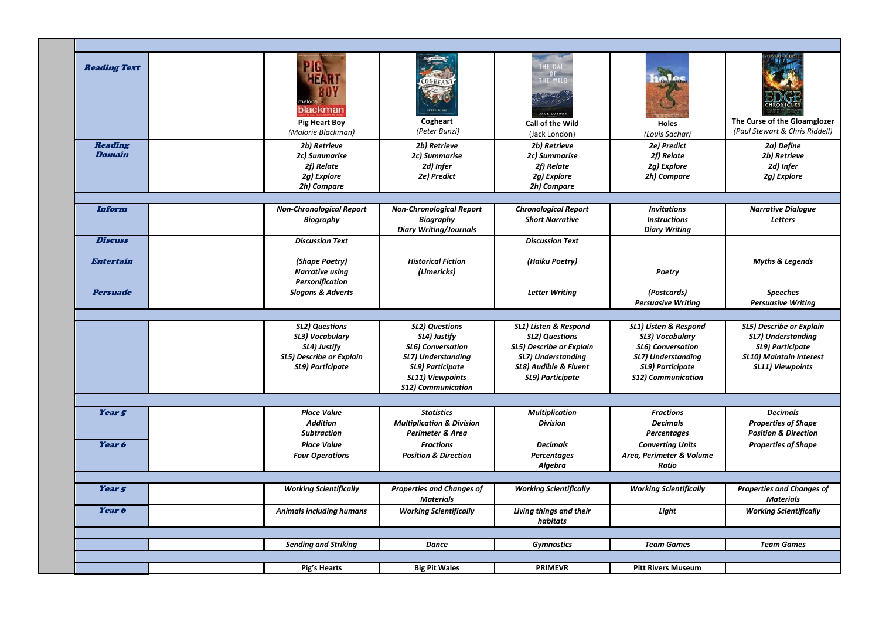| <b>Reading Text</b>             | HEAR <sup>1</sup><br>blackman<br><b>Pig Heart Boy</b><br>(Malorie Blackman)                              | 0 G H F A<br>Cogheart<br>(Peter Bunzi)                                                                                                                              | THE CALL<br>0 F<br>THE WILD<br>JACK LONDON<br><b>Call of the Wild</b><br>(Jack London)                                                        | inles<br><b>Holes</b><br>(Louis Sachar)                                                                                                            | The Curse of the Gloamglozer<br>(Paul Stewart & Chris Riddell)                                                                  |
|---------------------------------|----------------------------------------------------------------------------------------------------------|---------------------------------------------------------------------------------------------------------------------------------------------------------------------|-----------------------------------------------------------------------------------------------------------------------------------------------|----------------------------------------------------------------------------------------------------------------------------------------------------|---------------------------------------------------------------------------------------------------------------------------------|
| <b>Reading</b><br><b>Domain</b> | 2b) Retrieve<br>2c) Summarise<br>2f) Relate<br>2g) Explore<br>2h) Compare                                | 2b) Retrieve<br>2c) Summarise<br>2d) Infer<br>2e) Predict                                                                                                           | 2b) Retrieve<br>2c) Summarise<br>2f) Relate<br>2g) Explore<br>2h) Compare                                                                     | 2e) Predict<br>2f) Relate<br>2g) Explore<br>2h) Compare                                                                                            | 2a) Define<br>2b) Retrieve<br>2d) Infer<br>2g) Explore                                                                          |
| Inform<br><b>Discuss</b>        | <b>Non-Chronological Report</b><br><b>Biography</b><br><b>Discussion Text</b>                            | <b>Non-Chronological Report</b><br><b>Biography</b><br><b>Diary Writing/Journals</b>                                                                                | <b>Chronological Report</b><br><b>Short Narrative</b><br><b>Discussion Text</b>                                                               | <b>Invitations</b><br><b>Instructions</b><br><b>Diary Writing</b>                                                                                  | <b>Narrative Dialoque</b><br><b>Letters</b>                                                                                     |
| <b>Entertain</b>                | (Shape Poetry)<br>Narrative using<br>Personification                                                     | <b>Historical Fiction</b><br>(Limericks)                                                                                                                            | (Haiku Poetry)                                                                                                                                | Poetry                                                                                                                                             | <b>Myths &amp; Legends</b>                                                                                                      |
| <b>Persuade</b>                 | <b>Slogans &amp; Adverts</b>                                                                             |                                                                                                                                                                     | <b>Letter Writing</b>                                                                                                                         | (Postcards)<br><b>Persuasive Writing</b>                                                                                                           | <b>Speeches</b><br><b>Persuasive Writing</b>                                                                                    |
|                                 | <b>SL2) Questions</b><br>SL3) Vocabulary<br>SL4) Justify<br>SL5) Describe or Explain<br>SL9) Participate | <b>SL2) Questions</b><br>SL4) Justify<br><b>SL6) Conversation</b><br><b>SL7) Understanding</b><br>SL9) Participate<br>SL11) Viewpoints<br><b>S12) Communication</b> | SL1) Listen & Respond<br><b>SL2) Questions</b><br>SL5) Describe or Explain<br>SL7) Understanding<br>SL8) Audible & Fluent<br>SL9) Participate | SL1) Listen & Respond<br>SL3) Vocabulary<br><b>SL6) Conversation</b><br><b>SL7) Understanding</b><br>SL9) Participate<br><b>S12) Communication</b> | <b>SL5) Describe or Explain</b><br>SL7) Understanding<br>SL9) Participate<br><b>SL10) Maintain Interest</b><br>SL11) Viewpoints |
|                                 |                                                                                                          |                                                                                                                                                                     |                                                                                                                                               |                                                                                                                                                    |                                                                                                                                 |
| Year <sub>5</sub>               | <b>Place Value</b><br><b>Addition</b><br><b>Subtraction</b>                                              | <b>Statistics</b><br><b>Multiplication &amp; Division</b><br>Perimeter & Area                                                                                       | <b>Multiplication</b><br><b>Division</b>                                                                                                      | <b>Fractions</b><br><b>Decimals</b><br><b>Percentages</b>                                                                                          | <b>Decimals</b><br><b>Properties of Shape</b><br><b>Position &amp; Direction</b>                                                |
| Year 6                          | <b>Place Value</b><br><b>Four Operations</b>                                                             | <b>Fractions</b><br><b>Position &amp; Direction</b>                                                                                                                 | <b>Decimals</b><br>Percentages<br>Algebra                                                                                                     | <b>Converting Units</b><br>Area, Perimeter & Volume<br>Ratio                                                                                       | <b>Properties of Shape</b>                                                                                                      |
|                                 |                                                                                                          |                                                                                                                                                                     |                                                                                                                                               |                                                                                                                                                    |                                                                                                                                 |
| Year 5                          | <b>Working Scientifically</b>                                                                            | <b>Properties and Changes of</b><br><b>Materials</b>                                                                                                                | <b>Working Scientifically</b>                                                                                                                 | <b>Working Scientifically</b>                                                                                                                      | <b>Properties and Changes of</b><br><b>Materials</b>                                                                            |
| Year 6                          | <b>Animals including humans</b>                                                                          | <b>Working Scientifically</b>                                                                                                                                       | Living things and their<br>habitats                                                                                                           | Light                                                                                                                                              | <b>Working Scientifically</b>                                                                                                   |
|                                 |                                                                                                          |                                                                                                                                                                     |                                                                                                                                               |                                                                                                                                                    |                                                                                                                                 |
|                                 | <b>Sending and Striking</b>                                                                              | <b>Dance</b>                                                                                                                                                        | <b>Gymnastics</b>                                                                                                                             | <b>Team Games</b>                                                                                                                                  | <b>Team Games</b>                                                                                                               |
|                                 | Pig's Hearts                                                                                             | <b>Big Pit Wales</b>                                                                                                                                                | <b>PRIMEVR</b>                                                                                                                                | <b>Pitt Rivers Museum</b>                                                                                                                          |                                                                                                                                 |
|                                 |                                                                                                          |                                                                                                                                                                     |                                                                                                                                               |                                                                                                                                                    |                                                                                                                                 |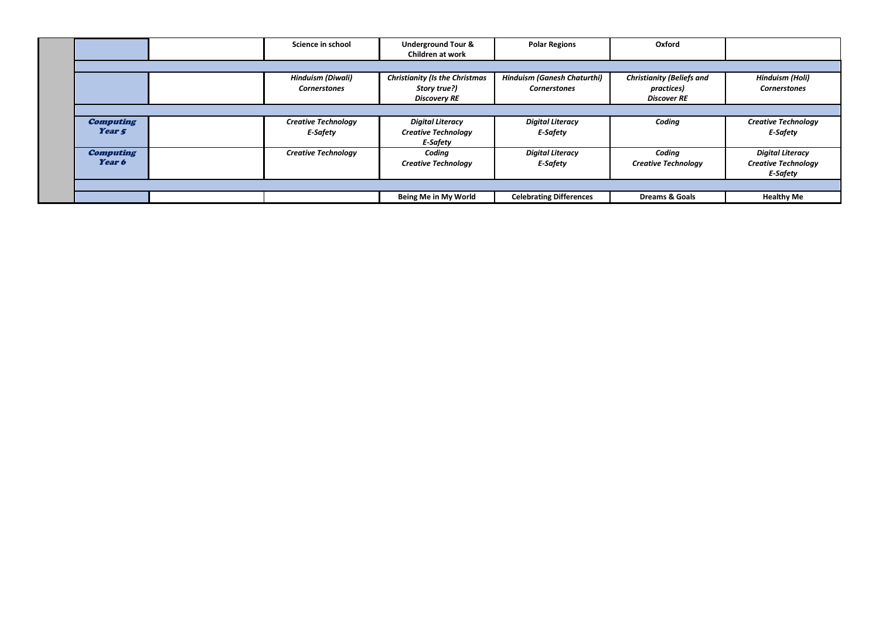|                                       | Science in school                             | <b>Underground Tour &amp;</b><br><b>Children at work</b>                     | <b>Polar Regions</b>                                      | Oxford                                                               |                                                                          |
|---------------------------------------|-----------------------------------------------|------------------------------------------------------------------------------|-----------------------------------------------------------|----------------------------------------------------------------------|--------------------------------------------------------------------------|
|                                       |                                               |                                                                              |                                                           |                                                                      |                                                                          |
|                                       | Hinduism (Diwali)<br><b>Cornerstones</b>      | <b>Christianity (Is the Christmas</b><br>Story true?)<br><b>Discovery RE</b> | <b>Hinduism (Ganesh Chaturthi)</b><br><b>Cornerstones</b> | <b>Christianity (Beliefs and</b><br>practices)<br><b>Discover RE</b> | Hinduism (Holi)<br><b>Cornerstones</b>                                   |
|                                       |                                               |                                                                              |                                                           |                                                                      |                                                                          |
| <b>Computing</b><br>Year <sub>5</sub> | <b>Creative Technology</b><br><b>E-Safety</b> | <b>Digital Literacy</b><br><b>Creative Technology</b><br><b>E-Safety</b>     | <b>Digital Literacy</b><br><b>F-Safety</b>                | Coding                                                               | <b>Creative Technology</b><br><b>F-Safety</b>                            |
| <b>Computing</b><br>Year 6            | <b>Creative Technology</b>                    | Coding<br><b>Creative Technology</b>                                         | <b>Digital Literacy</b><br><b>F-Safety</b>                | Coding<br><b>Creative Technology</b>                                 | <b>Digital Literacy</b><br><b>Creative Technology</b><br><b>F-Safety</b> |
|                                       |                                               |                                                                              |                                                           |                                                                      |                                                                          |
|                                       |                                               | Being Me in My World                                                         | <b>Celebrating Differences</b>                            | <b>Dreams &amp; Goals</b>                                            | <b>Healthy Me</b>                                                        |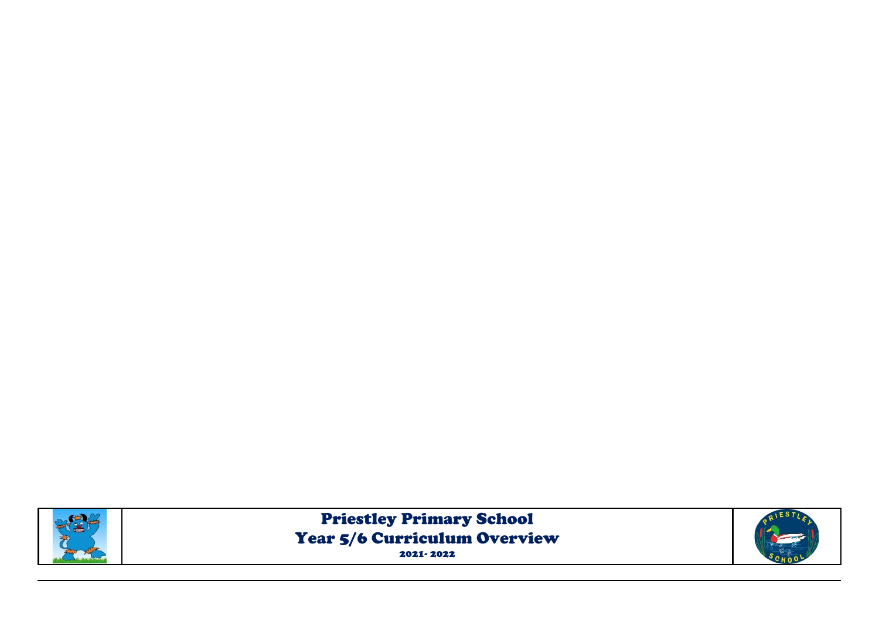

Priestley Primary School Year 5/6 Curriculum Overview 2021- 2022

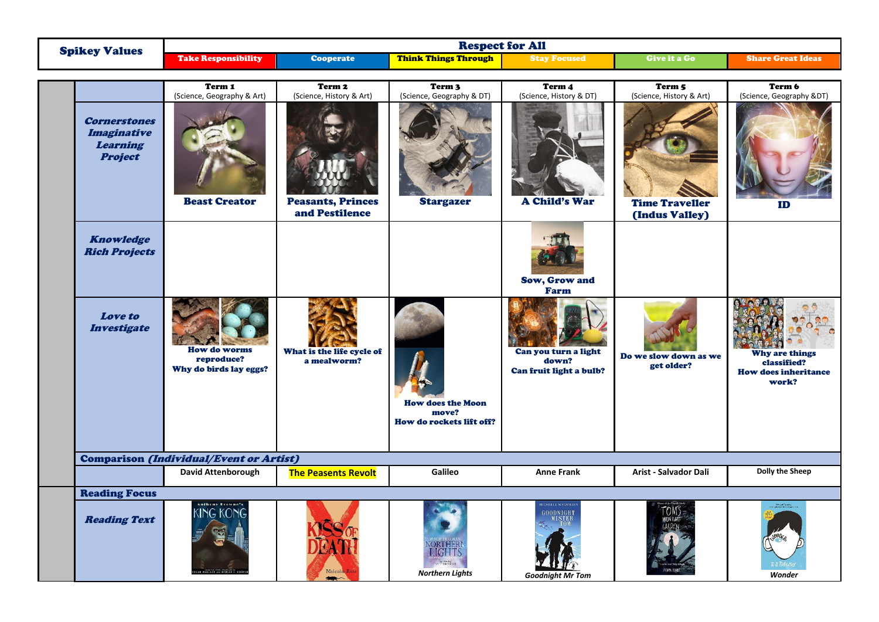|                                                                                | <b>Respect for All</b>                                                                                   |                                            |                                                                     |                                                                |                                         |                                                                              |
|--------------------------------------------------------------------------------|----------------------------------------------------------------------------------------------------------|--------------------------------------------|---------------------------------------------------------------------|----------------------------------------------------------------|-----------------------------------------|------------------------------------------------------------------------------|
| <b>Spikey Values</b>                                                           | <b>Take Responsibility</b>                                                                               | Cooperate                                  | <b>Think Things Through</b>                                         | <b>Stay Focused</b>                                            | Give it a Go                            | <b>Share Great Ideas</b>                                                     |
|                                                                                |                                                                                                          |                                            |                                                                     |                                                                |                                         |                                                                              |
|                                                                                | Term 1<br>(Science, Geography & Art)                                                                     | Term 2<br>(Science, History & Art)         | Term 3<br>(Science, Geography & DT)                                 | Term 4<br>(Science, History & DT)                              | Term 5<br>(Science, History & Art)      | Term 6<br>(Science, Geography &DT)                                           |
| <b>Cornerstones</b><br><b>Imaginative</b><br><b>Learning</b><br><b>Project</b> | <b>Beast Creator</b>                                                                                     | <b>Peasants, Princes</b><br>and Pestilence | <b>Stargazer</b>                                                    | <b>A Child's War</b>                                           | <b>Time Traveller</b><br>(Indus Valley) | ID                                                                           |
| <b>Knowledge</b><br><b>Rich Projects</b>                                       |                                                                                                          |                                            |                                                                     | Sow, Grow and<br>Farm                                          |                                         |                                                                              |
| <b>Love to</b><br><b>Investigate</b>                                           | <b>How do worms</b><br>reproduce?<br>Why do birds lay eggs?                                              | What is the life cycle of<br>a mealworm?   | <b>How does the Moon</b><br>move?<br>How do rockets lift off?       | Can you turn a light<br>down?<br>Can fruit light a bulb?       | Do we slow down as we<br>get older?     | <b>Why are things</b><br>classified?<br><b>How does inheritance</b><br>work? |
|                                                                                | <b>Comparison (Individual/Event or Artist)</b>                                                           |                                            |                                                                     |                                                                |                                         |                                                                              |
|                                                                                | David Attenborough                                                                                       | <b>The Peasents Revolt</b>                 | Galileo                                                             | <b>Anne Frank</b>                                              | Arist - Salvador Dali                   | <b>Dolly the Sheep</b>                                                       |
| <b>Reading Focus</b>                                                           |                                                                                                          |                                            |                                                                     |                                                                |                                         |                                                                              |
| <b>Reading Text</b>                                                            | ntheny Brewne <mark>"</mark><br><b>KING KONG</b><br><b>THE STORY CONCEPTERS</b><br>LCE AND MERIAN C. COC | Malcolm R                                  | NORTHERN<br>$\sim 10^{10}$ the real star.<br><b>Northern Lights</b> | <b>MCHELLE MAGORIA</b><br>GOODNIGHT<br><b>Goodnight Mr Tom</b> | TOM'S                                   | Wonder                                                                       |